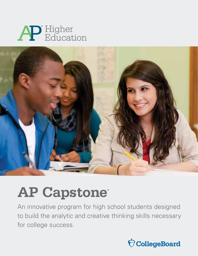



# **AP Capstone™**

An innovative program for high school students designed to build the analytic and creative thinking skills necessary for college success.

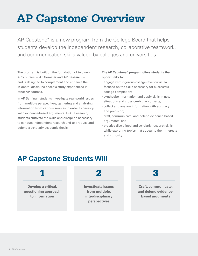# **AP Capstone™ Overview**

AP Capstone™ is a new program from the College Board that helps students develop the independent research, collaborative teamwork, and communication skills valued by colleges and universities.

The program is built on the foundation of two new AP® courses — **AP Seminar** and **AP Research** and is designed to complement and enhance the in-depth, discipline-specific study experienced in other AP courses.

In AP Seminar, students investigate real-world issues from multiple perspectives, gathering and analyzing information from various sources in order to develop valid evidence-based arguments. In AP Research, students cultivate the skills and discipline necessary to conduct independent research and to produce and defend a scholarly academic thesis.

### **The AP Capstone**™ **program offers students the opportunity to:**

- engage with rigorous college-level curricula focused on the skills necessary for successful college completion;
- synthesize information and apply skills in new situations and cross-curricular contexts;
- collect and analyze information with accuracy and precision;
- • craft, communicate, and defend evidence-based arguments; and
- practice disciplined and scholarly research skills while exploring topics that appeal to their interests and curiosity.

### **AP Capstone Students Will**

## 1

**Develop a critical, questioning approach to information** 

## 2

**Investigate issues from multiple, interdisciplinary perspectives** 

## 3

**Craft, communicate, and defend evidencebased arguments**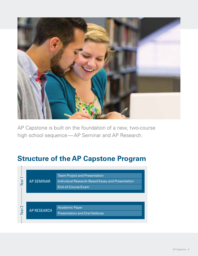

AP Capstone is built on the foundation of a new, two-course high school sequence — AP Seminar and AP Research.

### **Structure of the AP Capstone Program**

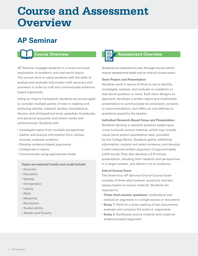## **Course and Assessment Overview**

### **AP Seminar**

AP Seminar engages students in a cross-curricular exploration of academic and real-world topics. The course aims to equip students with the skills to analyze and evaluate information with accuracy and precision in order to craft and communicate evidencebased arguments.

Using an inquiry framework, students are encouraged to consider multiple points of view in reading and analyzing articles; research studies; foundational, literary, and philosophical texts; speeches, broadcasts, and personal accounts; and artistic works and performances. Students will:

- Investigate topics from multiple perspectives
- • Gather and analyze information from various sources; evaluate evidence
- Develop evidence-based arguments
- Collaborate in teams
- Communicate using appropriate media

**Topics are selected locally and could include:** 

- Diversity
- Education
- Identity
- Immigration
- Liberty
- Myth
- Networks
- Revolution
- Sustainability
- Wealth and Poverty

### **Course Overview Assessment Overview**

Students are assessed by two through-course performance assessment tasks and an end-of-course exam:

#### **Team Project and Presentation**

Students work in teams of three to six to identify, investigate, analyze, and evaluate an academic or real-world question or issue. Each team designs an approach; develops a written report and multimedia presentation to communicate its conclusion, solution, or recommendation; and offers an oral defense to questions posed by the teacher.

#### **Individual Research-Based Essay and Presentation**

Students develop a research question based upon cross-curricular source material, which may include visual items and/or quantitative data, provided by the College Board. Students gather additional information; analyze and select evidence; and develop a well-reasoned written argument of approximately 2,000 words. They also develop a 6–8 minute presentation, situating their research and perspectives in a larger context, and deliver it to an audience.

#### **End-of-Course Exam**

The three-hour AP Seminar End-of-Course Exam consists of three short-answer questions and two essays based on source material. Students are required to:

- • **Three short-answer questions:** Understand and analyze an argument in a single source or document.
- **Essay 1:** Perform a close reading of two documents; evaluate and compare the authors' arguments.
- • **Essay 2:** Synthesize source material and create an evidence-based argument.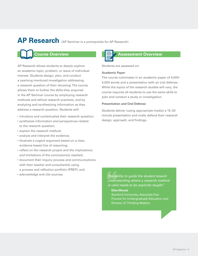### AP Research (AP Seminar is a prerequisite for AP Research)

AP Research allows students to deeply explore an academic topic, problem, or issue of individual interest. Students design, plan, and conduct a yearlong mentored investigation addressing a research question of their choosing. The course allows them to further the skills they acquired in the AP Seminar course by employing research methods and ethical research practices, and by analyzing and synthesizing information as they address a research question. Students will:

- introduce and contextualize their research question;
- synthesize information and perspectives related to the research question;
- explain the research method;
- analyze and interpret the evidence;
- illustrate a cogent argument based on a clear, evidence-based line of reasoning;
- reflect on the research project and the implications and limitations of the conclusion(s) reached;
- document their inquiry process and communications with their teacher and consultant(s) using a process and reflection portfolio (PREP); and
- acknowledge and cite sources.

**Course Overview Assessment Overview Assessment Overview** 

Students are assessed on:

#### **Academic Paper**

The course culminates in an academic paper of 4,000– 5,000 words and a presentation with an oral defense. While the topics of the research studies will vary, the course requires all students to use the same skills to plan and conduct a study or investigation.

### **Presentation and Oral Defense**

Students deliver (using appropriate media) a 15–20 minute presentation and orally defend their research design, approach, and findings.

### *The ability to guide the student toward understanding where a research method is valid needs to be explicitly taught."*

### — **Ellen Woods**

Stanford University, Associate Vice Provost for Undergraduate Education and Director of Thinking Matters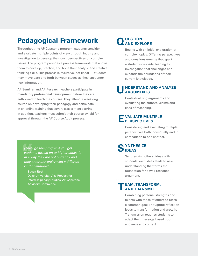### **Pedagogical Framework**

Throughout the AP Capstone program, students consider and evaluate multiple points of view through inquiry and investigation to develop their own perspectives on complex issues. The program provides a process framework that allows them to develop, practice, and hone their analytic and creative thinking skills. This process is recursive, not linear — students may move back and forth between stages as they encounter new information.

AP Seminar and AP Research teachers participate in **mandatory professional development** before they are authorized to teach the courses. They attend a weeklong course on developing their pedagogy and participate in an online training that covers assessment scoring. In addition, teachers must submit their course syllabi for approval through the AP Course Audit process.

**QUESTION AND EXPLORE** 

> Begins with an initial exploration of complex topics. Differing perspectives and questions emerge that spark a student's curiosity, leading to investigation that challenges and expands the boundaries of their current knowledge.

### **UNDERSTAND AND ANALYZE ARGUMENTS**

Contextualizing arguments and evaluating the authors' claims and lines of reasoning.

## **E VALUATE MULTIPLE PERSPECTIVES**

Considering and evaluating multiple perspectives both individually and in comparison to one another.

### **SYNTHESIZE IDEAS**

Synthesizing others' ideas with students' own ideas leads to new understanding that forms the foundation for a well-reasoned argument.

### **TEAM, TRANSFOR<br>AND TRANSMIT EAM, TRANSFORM,**

Combining personal strengths and talents with those of others to reach a common goal. Thoughtful reflection leads to transformation and growth. Transmission requires students to adapt their message based upon audience and context.

*[Through this program] you get students turned on to higher education in a way they are not currently and they enter university with a different kind of attitude."* 

#### — **Susan Roth**

Duke University, Vice Provost for Interdisciplinary Studies, AP Capstone Advisory Committee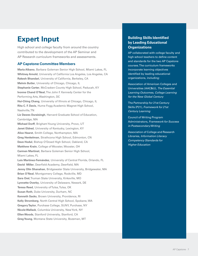### **Expert Input**

High school and college faculty from around the country contributed to the development of the AP Seminar and AP Research curriculum frameworks and assessments.

### **AP Capstone Committee Members**

**Maria Albano**, Barbara Goleman Senior High School, Miami Lakes, FL **Whitney Arnold**, University of California Los Angeles, Los Angeles, CA **Rakesh Bhandari**, University of California, Berkeley, CA **Melvin Butler**, University of Chicago, Chicago, IL **Stephanie Carter**, McCracken County High School, Paducah, KY **Ivonne Chand O'Neal**, The John F. Kennedy Center for the Performing Arts, Washington, DC **Hui-Ching Chang**, University of Illinois at Chicago, Chicago, IL **Rita C. F. Davis**, Hume Fogg Academic Magnet High School, Nashville, TN **Liz Dawes Duraisingh**, Harvard Graduate School of Education, Cambridge, MA **Michael Dorff**, Brigham Young University, Provo, UT **Janet Eldred**, University of Kentucky, Lexington, KY **Alice Hearst**, Smith College, Northampton, MA **Greg Henkelman**, Strathcona High School, Edmonton, CN **Dave Hodul**, Bishop O'Dowd High School, Oakland, CA **Matthew Krain**, College of Wooster, Wooster, OH **Carmen Martinet**, Barbara Goleman Senior High School, Miami Lakes, FL **Luis Martínez-Fernández**, University of Central Florida, Orlando, FL **David Miller**, Deerfield Academy, Deerfield, MA **Jenny Olin Shanahan**, Bridgewater State University, Bridgewater, MA **Brian O'Neal**, Montgomery College, Rockville, MD **Sara Orel**, Truman State University, Kirksville, MO **Lynnette Overby**, University of Delaware, Newark, DE **Teresa Reed**, University of Tulsa, Tulsa, OK **Susan Roth**, Duke University, Durham, NC **Kenneth Sacks**, Brown University, Providence, RI **Kelly Stromberg**, North Central High School, Spokane, WA **Gregory Taylor**, Purchase College, SUNY, Purchase, NY **Nicole Wallack**, Columbia University, New York, NY **Ellen Woods**, Stanford University, Stanford, CA **Greg Young**, Montana State University, Bozeman, MT

### **Building Skills Identified by Leading Educational Organizations**

AP collaborated with college faculty and high school teachers to define content and standards for the two AP Capstone courses. The curriculum frameworks incorporate learning objectives identified by leading educational organizations, including:

Association of American Colleges and Universities (AAC&U), *The Essential Learning Outcomes, College Learning for the New Global Century* 

The Partnership for 21st Century Skills (P21), *Framework for 21st Century Learning* 

Council of Writing Program Administrators, *Framework for Success in Postsecondary Writing* 

Association of College and Research Libraries, *Information Literacy Competency Standards for Higher Education*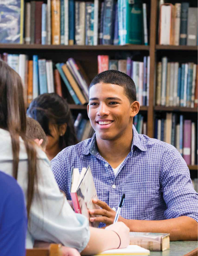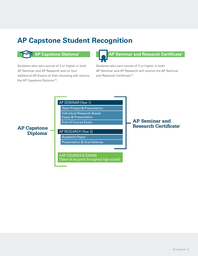### **AP Capstone Student Recognition**



Students who earn scores of 3 or higher in both AP Seminar and AP Research and on four additional AP Exams of their choosing will receive the AP Capstone Diploma™.

**AP Capstone Diploma™ AP Seminar and Research Certificate™** 

Students who earn scores of 3 or higher in both AP Seminar and AP Research will receive the AP Seminar and Research Certificate™.

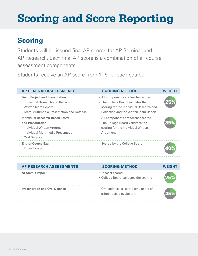# **Scoring and Score Reporting**

### **Scoring**

Students will be issued final AP scores for AP Seminar and AP Research. Each final AP score is a combination of all course assessment components.

Students receive an AP score from 1–5 for each course.

| <b>AP SEMINAR ASSESSMENTS</b>            | <b>SCORING METHOD</b>                   | WEIGHT       |
|------------------------------------------|-----------------------------------------|--------------|
| <b>Team Project and Presentation</b>     | • All components are teacher-scored     |              |
| Individual Research and Reflection       | • The College Board validates the       | $45^{\circ}$ |
| Written Team Report                      | scoring for the Individual Research and |              |
| Team Multimedia Presentation and Defense | Reflection and the Written Team Report  |              |
| <b>Individual Research-Based Essay</b>   | • All components are teacher-scored     |              |
| and Presentation                         | • The College Board validates the       |              |
| Individual Written Argument              | scoring for the Individual Written      |              |
| Individual Multimedia Presentation       | Argument                                |              |
| Oral Defense                             |                                         |              |
| <b>End-of-Course Exam</b>                | Scored by the College Board             |              |
| <b>Three Essays</b>                      |                                         |              |

| <b>AP RESEARCH ASSESSMENTS</b>       | <b>SCORING METHOD</b>                                           | WEIGHT |
|--------------------------------------|-----------------------------------------------------------------|--------|
| <b>Academic Paper</b>                | • Teacher-scored<br>• College Board validates the scoring       | 447    |
| <b>Presentation and Oral Defense</b> | Oral defense is scored by a panel of<br>school-based evaluators |        |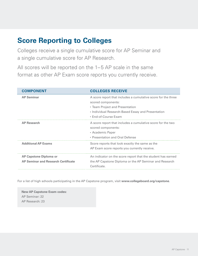### **Score Reporting to Colleges**

Colleges receive a single cumulative score for AP Seminar and a single cumulative score for AP Research.

All scores will be reported on the 1–5 AP scale in the same format as other AP Exam score reports you currently receive.

| <b>COMPONENT</b>                                                            | <b>COLLEGES RECEIVE</b>                                                                                                                                                                              |
|-----------------------------------------------------------------------------|------------------------------------------------------------------------------------------------------------------------------------------------------------------------------------------------------|
| <b>AP Seminar</b>                                                           | A score report that includes a cumulative score for the three<br>scored components:<br>• Team Project and Presentation<br>• Individual Research-Based Essay and Presentation<br>• End-of-Course Exam |
| <b>AP Research</b>                                                          | A score report that includes a cumulative score for the two<br>scored components:<br>• Academic Paper<br>• Presentation and Oral Defense                                                             |
| <b>Additional AP Exams</b>                                                  | Score reports that look exactly the same as the<br>AP Exam score reports you currently receive.                                                                                                      |
| <b>AP Capstone Diploma or</b><br><b>AP Seminar and Research Certificate</b> | An indicator on the score report that the student has earned<br>the AP Capstone Diploma or the AP Seminar and Research<br>Certificate.                                                               |

For a list of high schools participating in the AP Capstone program, visit **www.collegeboard.org/capstone**.

**New AP Capstone Exam codes:**  AP Seminar: 22 AP Research: 23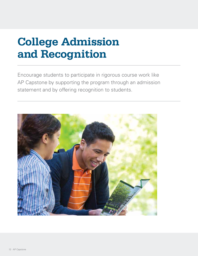# **College Admission and Recognition**

Encourage students to participate in rigorous course work like AP Capstone by supporting the program through an admission statement and by offering recognition to students.

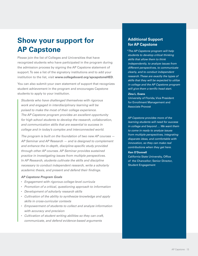### **Show your support for AP Capstone**

Please join the list of Colleges and Universities that have recognized students who have participated in the program during the admission process by signing the AP Capstone statement of support. To see a list of the signatory institutions and to add your institution to the list, visit **www.collegeboard.org/apcapstoneHED**.

You can also submit your own statement of support that recognizes student achievement in the program and encourages Capstone students to apply to your institution.

*Students who have challenged themselves with rigorous work and engaged in interdisciplinary learning will be poised to make the most of their college experience. The AP Capstone program provides an excellent opportunity for high school students to develop the research, collaboration, and communication skills that are essential to success in college and in today's complex and interconnected world.* 

*The program is built on the foundation of two new AP courses — AP Seminar and AP Research — and is designed to complement and enhance the in-depth, discipline-specific study provided through other AP courses. AP Seminar provides sustained practice in investigating issues from multiple perspectives. In AP Research, students cultivate the skills and discipline necessary to conduct independent research, write a scholarly academic thesis, and present and defend their findings.* 

#### *AP Capstone Program Goals*

- *• Engagement with rigorous college-level curricula*
- *• Promotion of a critical, questioning approach to information*
- *• Development of scholarly research skills*
- *• Cultivation of the ability to synthesize knowledge and apply skills in cross-curricular contexts*
- *• Empowerment of students to collect and analyze information with accuracy and precision*
- *• Cultivation of student writing abilities so they can craft, communicate, and defend evidence-based arguments*

### **Additional Support for AP Capstone**

*" will give them a terrific head start. "The AP Capstone program will help students to develop critical thinking skills that allow them to think independently, to analyze issues from different perspectives, to communicate clearly, and to conduct independent research. These are exactly the types of skills that they will be expected to utilize in college and the AP Capstone program* 

#### **Zina L. Evans**

University of Florida, Vice President for Enrollment Management and Associate Provost

*" AP Capstone provides more of the " contributions when they get here. learning students will need for success in college and beyond … We want them to come in ready to analyze issues from multiple perspectives, integrating disparate ideas, and comfortable with innovation, so they can make real* 

#### **Ken O'Donnell**

California State University, Office of the Chancellor; Senior Director, Student Engagement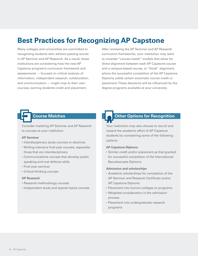### **Best Practices for Recognizing AP Capstone**

Many colleges and universities are committed to recognizing students who achieve passing scores in AP Seminar and AP Research. As a result, these institutions are considering how the new AP Capstone program's curriculum framework and assessments — focused on critical analysis of information, independent research, collaboration, and communication — might map to their own courses, earning students credit and placement.

After reviewing the AP Seminar and AP Research curriculum frameworks, your institution may want to consider "course-match" models that allow for direct alignment between each AP Capstone course and a campus-based course, or "block" alignment, where the successful completion of the AP Capstone Diploma yields certain automatic course credit or placement. These decisions will be influenced by the degree programs available at your university.

Consider matching AP Seminar and AP Research to courses at your institution.

#### **AP Seminar**

- Interdisciplinary study courses or electives
- • Writing-intensive first-year courses, especially those that are interdisciplinary
- • Communications courses that develop public speaking and oral defense skills
- First-year seminar
- Critical thinking courses

### **AP Research**

- Research methodology courses
- Independent study and special topics courses

### **Course Matches Course Matches Other Options for Recognition**

Your institution may also choose to recruit and reward the academic effort of AP Capstone students by considering some of the following options:

#### **AP Capstone Diploma**

 • Similar credit and/or placement as that granted for successful completion of the International Baccalaureate Diploma

#### **Admission and scholarships**

- • Academic scholarships for completion of the AP Seminar and Research Certificate and/or AP Capstone Diploma
- Placement into honors colleges or programs
- • Weighted consideration in the admission process
- Placement into undergraduate research programs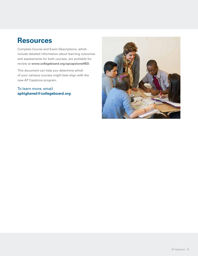### **Resources**

Complete Course and Exam Descriptions, which include detailed information about learning outcomes and assessments for both courses, are available for review at **www.collegeboard.org/apcapstoneHED.** 

This document can help you determine which of your campus courses might best align with the new AP Capstone program.

### To learn more, email **aphighered@collegeboard.org**